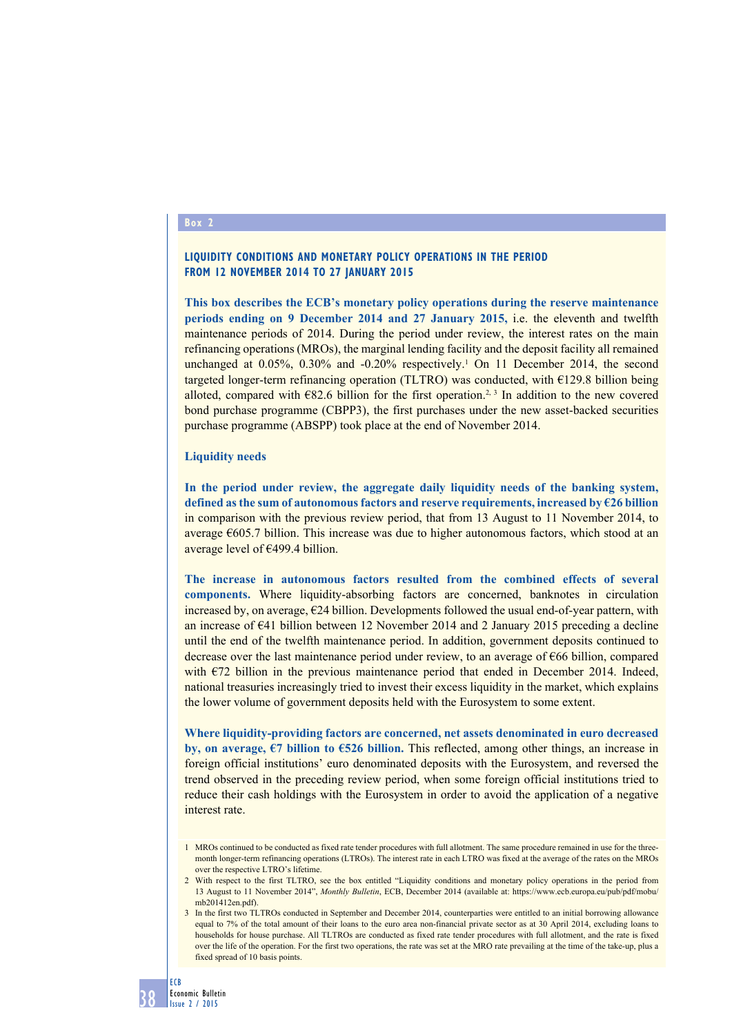### **Box 2**

## **Liquidity conditions and monetary policy operations in the period from 12 November 2014 to 27 January 2015**

**This box describes the ECB's monetary policy operations during the reserve maintenance periods ending on 9 December 2014 and 27 January 2015,** i.e. the eleventh and twelfth maintenance periods of 2014. During the period under review, the interest rates on the main refinancing operations (MROs), the marginal lending facility and the deposit facility all remained unchanged at 0.05%, 0.30% and -0.20% respectively.<sup>1</sup> On 11 December 2014, the second targeted longer-term refinancing operation (TLTRO) was conducted, with €129.8 billion being alloted, compared with  $\epsilon$ 82.6 billion for the first operation.<sup>2, 3</sup> In addition to the new covered bond purchase programme (CBPP3), the first purchases under the new asset-backed securities purchase programme (ABSPP) took place at the end of November 2014.

#### **Liquidity needs**

**In the period under review, the aggregate daily liquidity needs of the banking system, defined as the sum of autonomous factors and reserve requirements, increased by €26 billion** in comparison with the previous review period, that from 13 August to 11 November 2014, to average €605.7 billion. This increase was due to higher autonomous factors, which stood at an average level of €499.4 billion.

**The increase in autonomous factors resulted from the combined effects of several components.** Where liquidity-absorbing factors are concerned, banknotes in circulation increased by, on average,  $E24$  billion. Developments followed the usual end-of-year pattern, with an increase of €41 billion between 12 November 2014 and 2 January 2015 preceding a decline until the end of the twelfth maintenance period. In addition, government deposits continued to decrease over the last maintenance period under review, to an average of €66 billion, compared with  $E$ 72 billion in the previous maintenance period that ended in December 2014. Indeed, national treasuries increasingly tried to invest their excess liquidity in the market, which explains the lower volume of government deposits held with the Eurosystem to some extent.

**Where liquidity-providing factors are concerned, net assets denominated in euro decreased by, on average, €7 billion to €526 billion.** This reflected, among other things, an increase in foreign official institutions' euro denominated deposits with the Eurosystem, and reversed the trend observed in the preceding review period, when some foreign official institutions tried to reduce their cash holdings with the Eurosystem in order to avoid the application of a negative interest rate.

<sup>1</sup> MROs continued to be conducted as fixed rate tender procedures with full allotment. The same procedure remained in use for the threemonth longer-term refinancing operations (LTROs). The interest rate in each LTRO was fixed at the average of the rates on the MROs over the respective LTRO's lifetime.

<sup>2</sup> With respect to the first TLTRO, see the box entitled "Liquidity conditions and monetary policy operations in the period from 13 August to 11 November 2014", *Monthly Bulletin*, ECB, December 2014 (available at: https://www.ecb.europa.eu/pub/pdf/mobu/ mb201412en.pdf).

<sup>3</sup> In the first two TLTROs conducted in September and December 2014, counterparties were entitled to an initial borrowing allowance equal to 7% of the total amount of their loans to the euro area non-financial private sector as at 30 April 2014, excluding loans to households for house purchase. All TLTROs are conducted as fixed rate tender procedures with full allotment, and the rate is fixed over the life of the operation. For the first two operations, the rate was set at the MRO rate prevailing at the time of the take-up, plus a fixed spread of 10 basis points.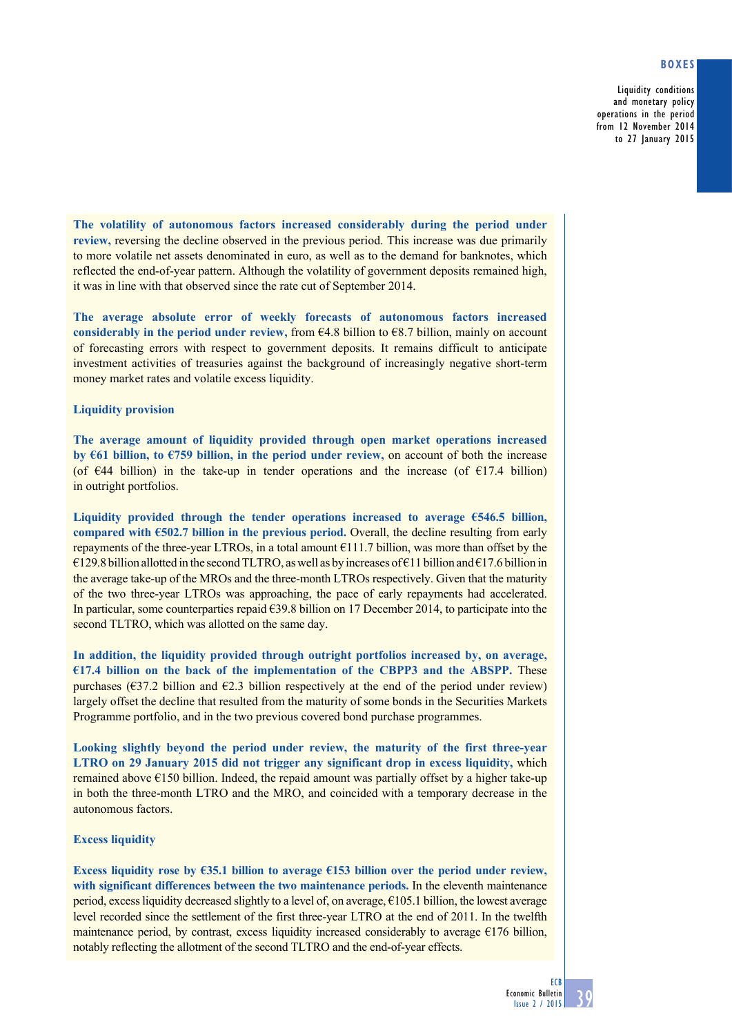## **Boxes**

Liquidity conditions and monetary policy operations in the period from 12 November 2014 to 27 January 2015

**The volatility of autonomous factors increased considerably during the period under review,** reversing the decline observed in the previous period. This increase was due primarily to more volatile net assets denominated in euro, as well as to the demand for banknotes, which reflected the end-of-year pattern. Although the volatility of government deposits remained high, it was in line with that observed since the rate cut of September 2014.

**The average absolute error of weekly forecasts of autonomous factors increased**  considerably in the period under review, from  $64.8$  billion to  $68.7$  billion, mainly on account of forecasting errors with respect to government deposits. It remains difficult to anticipate investment activities of treasuries against the background of increasingly negative short-term money market rates and volatile excess liquidity.

### **Liquidity provision**

**The average amount of liquidity provided through open market operations increased by €61 billion, to €759 billion, in the period under review,** on account of both the increase (of  $\epsilon$ 44 billion) in the take-up in tender operations and the increase (of  $\epsilon$ 17.4 billion) in outright portfolios.

**Liquidity provided through the tender operations increased to average €546.5 billion, compared with €502.7 billion in the previous period.** Overall, the decline resulting from early repayments of the three-year LTROs, in a total amount  $\epsilon$ 111.7 billion, was more than offset by the  $€129.8$  billion allotted in the second TLTRO, as well as by increases of  $€11$  billion and  $€17.6$  billion in the average take-up of the MROs and the three-month LTROs respectively. Given that the maturity of the two three-year LTROs was approaching, the pace of early repayments had accelerated. In particular, some counterparties repaid  $\epsilon$ 39.8 billion on 17 December 2014, to participate into the second TLTRO, which was allotted on the same day.

**In addition, the liquidity provided through outright portfolios increased by, on average, €17.4 billion on the back of the implementation of the CBPP3 and the ABSPP.** These purchases ( $\epsilon$ 37.2 billion and  $\epsilon$ 2.3 billion respectively at the end of the period under review) largely offset the decline that resulted from the maturity of some bonds in the Securities Markets Programme portfolio, and in the two previous covered bond purchase programmes.

**Looking slightly beyond the period under review, the maturity of the first three-year LTRO on 29 January 2015 did not trigger any significant drop in excess liquidity,** which remained above  $\epsilon$ 150 billion. Indeed, the repaid amount was partially offset by a higher take-up in both the three-month LTRO and the MRO, and coincided with a temporary decrease in the autonomous factors.

# **Excess liquidity**

**Excess liquidity rose by €35.1 billion to average €153 billion over the period under review, with significant differences between the two maintenance periods.** In the eleventh maintenance period, excess liquidity decreased slightly to a level of, on average,  $\epsilon$ 105.1 billion, the lowest average level recorded since the settlement of the first three-year LTRO at the end of 2011. In the twelfth maintenance period, by contrast, excess liquidity increased considerably to average  $E176$  billion, notably reflecting the allotment of the second TLTRO and the end-of-year effects.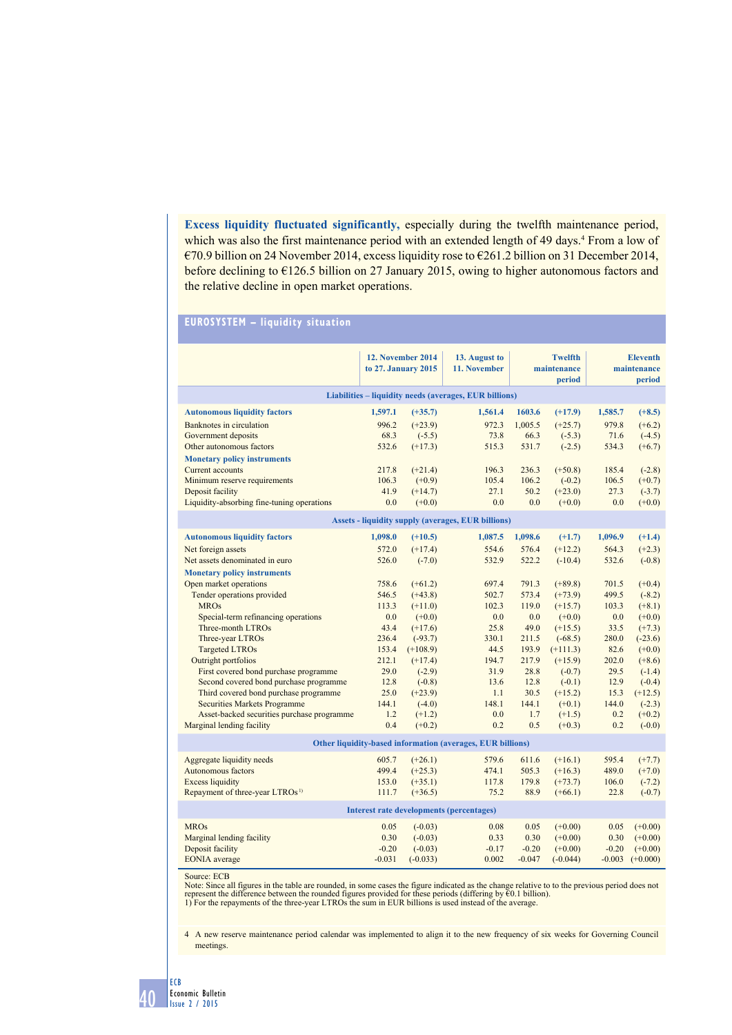**Excess liquidity fluctuated significantly,** especially during the twelfth maintenance period, which was also the first maintenance period with an extended length of 49 days.<sup>4</sup> From a low of €70.9 billion on 24 November 2014, excess liquidity rose to €261.2 billion on 31 December 2014, before declining to €126.5 billion on 27 January 2015, owing to higher autonomous factors and the relative decline in open market operations.

# **eUrosystem – liquidity situation**

|                                                                                 | <b>12. November 2014</b><br>to 27. January 2015 |                       | 13. August to<br>11. November                             | <b>Twelfth</b><br>maintenance<br>period |                       | <b>Eleventh</b><br>maintenance<br>period |                       |
|---------------------------------------------------------------------------------|-------------------------------------------------|-----------------------|-----------------------------------------------------------|-----------------------------------------|-----------------------|------------------------------------------|-----------------------|
| Liabilities – liquidity needs (averages, EUR billions)                          |                                                 |                       |                                                           |                                         |                       |                                          |                       |
| <b>Autonomous liquidity factors</b>                                             | 1,597.1                                         | $(+35.7)$             | 1,561.4                                                   | 1603.6                                  | $(+17.9)$             | 1,585.7                                  | $(+8.5)$              |
| Banknotes in circulation                                                        | 996.2                                           | $(+23.9)$             | 972.3                                                     | 1,005.5                                 | $(+25.7)$             | 979.8                                    | $(+6.2)$              |
| Government deposits                                                             | 68.3                                            | $(-5.5)$              | 73.8                                                      | 66.3                                    | $(-5.3)$              | 71.6                                     | $(-4.5)$              |
| Other autonomous factors                                                        | 532.6                                           | $(+17.3)$             | 515.3                                                     | 531.7                                   | $(-2.5)$              | 534.3                                    | $(+6.7)$              |
| <b>Monetary policy instruments</b>                                              |                                                 |                       |                                                           |                                         |                       |                                          |                       |
| Current accounts                                                                | 217.8                                           | $(+21.4)$             | 196.3                                                     | 236.3                                   | $(+50.8)$             | 185.4                                    | $(-2.8)$              |
| Minimum reserve requirements<br>Deposit facility                                | 106.3<br>41.9                                   | $(+0.9)$<br>$(+14.7)$ | 105.4<br>27.1                                             | 106.2<br>50.2                           | $(-0.2)$<br>$(+23.0)$ | 106.5<br>27.3                            | $(+0.7)$<br>$(-3.7)$  |
| Liquidity-absorbing fine-tuning operations                                      | 0.0                                             | $(+0.0)$              | 0.0                                                       | 0.0                                     | $(+0.0)$              | 0.0                                      | $(+0.0)$              |
|                                                                                 |                                                 |                       |                                                           |                                         |                       |                                          |                       |
|                                                                                 |                                                 |                       | <b>Assets - liquidity supply (averages, EUR billions)</b> |                                         |                       |                                          |                       |
| <b>Autonomous liquidity factors</b>                                             | 1,098.0                                         | $(+10.5)$             | 1,087.5                                                   | 1,098.6                                 | $(+1.7)$              | 1,096.9                                  | $(+1.4)$              |
| Net foreign assets                                                              | 572.0                                           | $(+17.4)$             | 554.6                                                     | 576.4                                   | $(+12.2)$             | 564.3                                    | $(+2.3)$              |
| Net assets denominated in euro                                                  | 526.0                                           | $(-7.0)$              | 532.9                                                     | 522.2                                   | $(-10.4)$             | 532.6                                    | $(-0.8)$              |
| <b>Monetary policy instruments</b><br>Open market operations                    | 758.6                                           | $(+61.2)$             | 697.4                                                     | 791.3                                   | $(+89.8)$             | 701.5                                    | $(+0.4)$              |
| Tender operations provided                                                      | 546.5                                           | $(+43.8)$             | 502.7                                                     | 573.4                                   | $(+73.9)$             | 499.5                                    | $(-8.2)$              |
| <b>MROs</b>                                                                     | 113.3                                           | $(+11.0)$             | 102.3                                                     | 119.0                                   | $(+15.7)$             | 103.3                                    | $(+8.1)$              |
| Special-term refinancing operations                                             | 0.0                                             | $(+0.0)$              | 0.0                                                       | 0.0                                     | $(+0.0)$              | 0.0                                      | $(+0.0)$              |
| Three-month LTROs                                                               | 43.4                                            | $(+17.6)$             | 25.8                                                      | 49.0                                    | $(+15.5)$             | 33.5                                     | $(+7.3)$              |
| Three-year LTROs                                                                | 236.4                                           | $(-93.7)$             | 330.1                                                     | 211.5                                   | $(-68.5)$             | 280.0                                    | $(-23.6)$             |
| <b>Targeted LTROs</b>                                                           | 153.4                                           | $(+108.9)$            | 44.5                                                      | 193.9                                   | $(+111.3)$            | 82.6                                     | $(+0.0)$              |
| Outright portfolios                                                             | 212.1                                           | $(+17.4)$             | 194.7                                                     | 217.9                                   | $(+15.9)$             | 202.0                                    | $(+8.6)$              |
| First covered bond purchase programme                                           | 29.0                                            | $(-2.9)$              | 31.9                                                      | 28.8                                    | $(-0.7)$              | 29.5                                     | $(-1.4)$              |
| Second covered bond purchase programme<br>Third covered bond purchase programme | 12.8<br>25.0                                    | $(-0.8)$<br>$(+23.9)$ | 13.6<br>1.1                                               | 12.8<br>30.5                            | $(-0.1)$<br>$(+15.2)$ | 12.9<br>15.3                             | $(-0.4)$<br>$(+12.5)$ |
| <b>Securities Markets Programme</b>                                             | 144.1                                           | $(-4.0)$              | 148.1                                                     | 144.1                                   | $(+0.1)$              | 144.0                                    | $(-2.3)$              |
| Asset-backed securities purchase programme                                      | 1.2                                             | $(+1.2)$              | 0.0                                                       | 1.7                                     | $(+1.5)$              | 0.2                                      | $(+0.2)$              |
| Marginal lending facility                                                       | 0.4                                             | $(+0.2)$              | 0.2                                                       | 0.5                                     | $(+0.3)$              | 0.2                                      | $(-0.0)$              |
| Other liquidity-based information (averages, EUR billions)                      |                                                 |                       |                                                           |                                         |                       |                                          |                       |
| Aggregate liquidity needs                                                       | 605.7                                           | $(+26.1)$             | 579.6                                                     | 611.6                                   | $(+16.1)$             | 595.4                                    | $(+7.7)$              |
| Autonomous factors                                                              | 499.4                                           | $(+25.3)$             | 474.1                                                     | 505.3                                   | $(+16.3)$             | 489.0                                    | $(+7.0)$              |
| <b>Excess liquidity</b>                                                         | 153.0                                           | $(+35.1)$             | 117.8                                                     | 179.8                                   | $(+73.7)$             | 106.0                                    | $(-7.2)$              |
| Repayment of three-year LTROs <sup>1)</sup>                                     | 111.7                                           | $(+36.5)$             | 75.2                                                      | 88.9                                    | $(+66.1)$             | 22.8                                     | $(-0.7)$              |
| Interest rate developments (percentages)                                        |                                                 |                       |                                                           |                                         |                       |                                          |                       |
| <b>MROs</b>                                                                     | 0.05                                            | $(-0.03)$             | 0.08                                                      | 0.05                                    | $(+0.00)$             | 0.05                                     | $(+0.00)$             |
| Marginal lending facility                                                       | 0.30                                            | $(-0.03)$             | 0.33                                                      | 0.30                                    | $(+0.00)$             | 0.30                                     | $(+0.00)$             |
| Deposit facility                                                                | $-0.20$                                         | $(-0.03)$             | $-0.17$                                                   | $-0.20$                                 | $(+0.00)$             | $-0.20$                                  | $(+0.00)$             |
| <b>EONIA</b> average                                                            | $-0.031$                                        | $(-0.033)$            | 0.002                                                     | $-0.047$                                | $(-0.044)$            | $-0.003$                                 | $(+0.000)$            |

Source: ECB

Note: Since all figures in the table are rounded, in some cases the figure indicated as the change relative to to the previous period does not<br>represent the difference between the rounded figures provided for these periods

4 A new reserve maintenance period calendar was implemented to align it to the new frequency of six weeks for Governing Council meetings.